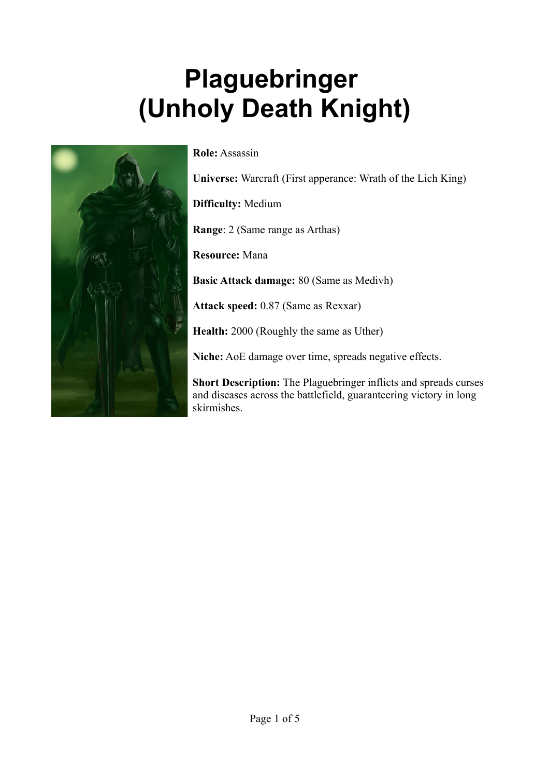# **Plaguebringer (Unholy Death Knight)**



**Role:** Assassin

**Universe:** Warcraft (First apperance: Wrath of the Lich King)

**Difficulty:** Medium

**Range**: 2 (Same range as Arthas)

**Resource:** Mana

**Basic Attack damage:** 80 (Same as Medivh)

**Attack speed:** 0.87 (Same as Rexxar)

**Health:** 2000 (Roughly the same as Uther)

**Niche:** AoE damage over time, spreads negative effects.

**Short Description:** The Plaguebringer inflicts and spreads curses and diseases across the battlefield, guaranteering victory in long skirmishes.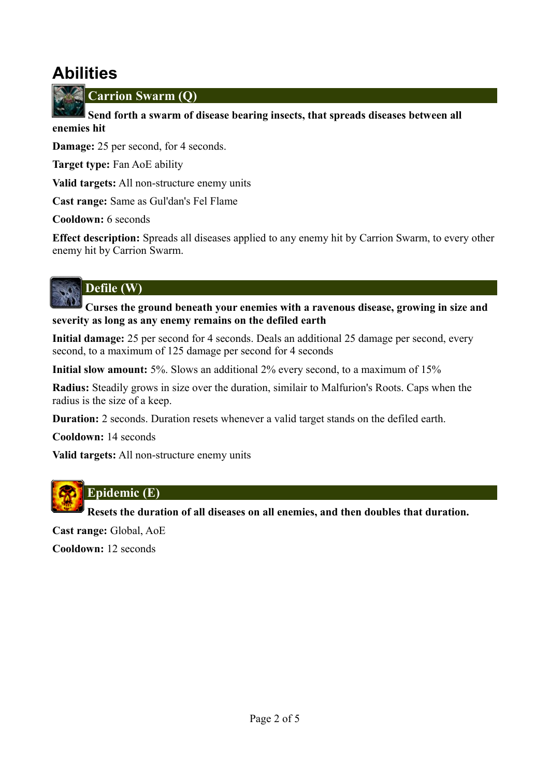# **Abilities**



**Carrion Swarm (Q)**

 **Send forth a swarm of disease bearing insects, that spreads diseases between all enemies hit**

**Damage:** 25 per second, for 4 seconds.

**Target type:** Fan AoE ability

**Valid targets:** All non-structure enemy units

**Cast range:** Same as Gul'dan's Fel Flame

**Cooldown:** 6 seconds

**Effect description:** Spreads all diseases applied to any enemy hit by Carrion Swarm, to every other enemy hit by Carrion Swarm.

# **Defile (W)**

 **Curses the ground beneath your enemies with a ravenous disease, growing in size and severity as long as any enemy remains on the defiled earth**

**Initial damage:** 25 per second for 4 seconds. Deals an additional 25 damage per second, every second, to a maximum of 125 damage per second for 4 seconds

**Initial slow amount:** 5%. Slows an additional 2% every second, to a maximum of 15%

**Radius:** Steadily grows in size over the duration, similair to Malfurion's Roots. Caps when the radius is the size of a keep.

**Duration:** 2 seconds. Duration resets whenever a valid target stands on the defiled earth.

**Cooldown:** 14 seconds

**Valid targets:** All non-structure enemy units



#### **Epidemic (E)**

 **Resets the duration of all diseases on all enemies, and then doubles that duration.**

**Cast range:** Global, AoE

**Cooldown:** 12 seconds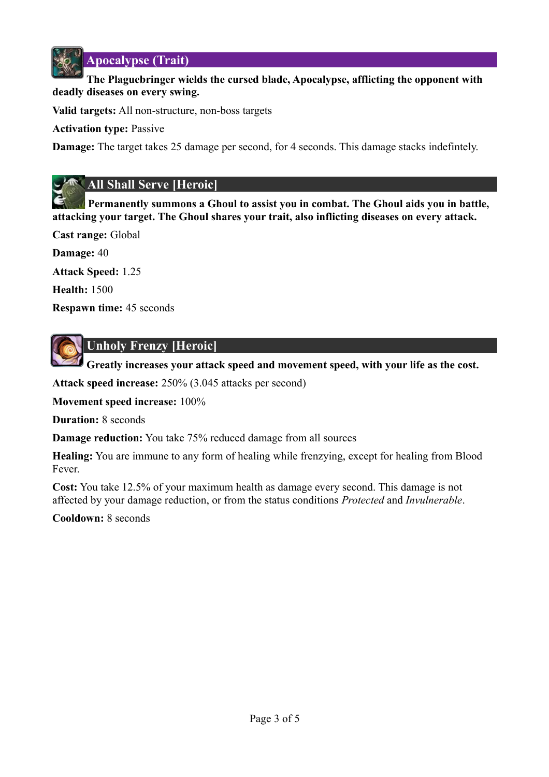

**Apocalypse (Trait)**

#### **The Plaguebringer wields the cursed blade, Apocalypse, afflicting the opponent with deadly diseases on every swing.**

**Valid targets:** All non-structure, non-boss targets

**Activation type:** Passive

**Damage:** The target takes 25 damage per second, for 4 seconds. This damage stacks indefintely.

#### **All Shall Serve [Heroic]**

**Permanently summons a Ghoul to assist you in combat. The Ghoul aids you in battle, attacking your target. The Ghoul shares your trait, also inflicting diseases on every attack.**

**Cast range:** Global

**Damage:** 40

**Attack Speed:** 1.25

**Health:** 1500

**Respawn time:** 45 seconds



#### **Unholy Frenzy [Heroic]**

 **Greatly increases your attack speed and movement speed, with your life as the cost.**

**Attack speed increase:** 250% (3.045 attacks per second)

**Movement speed increase:** 100%

**Duration:** 8 seconds

**Damage reduction:** You take 75% reduced damage from all sources

**Healing:** You are immune to any form of healing while frenzying, except for healing from Blood Fever.

**Cost:** You take 12.5% of your maximum health as damage every second. This damage is not affected by your damage reduction, or from the status conditions *Protected* and *Invulnerable*.

**Cooldown:** 8 seconds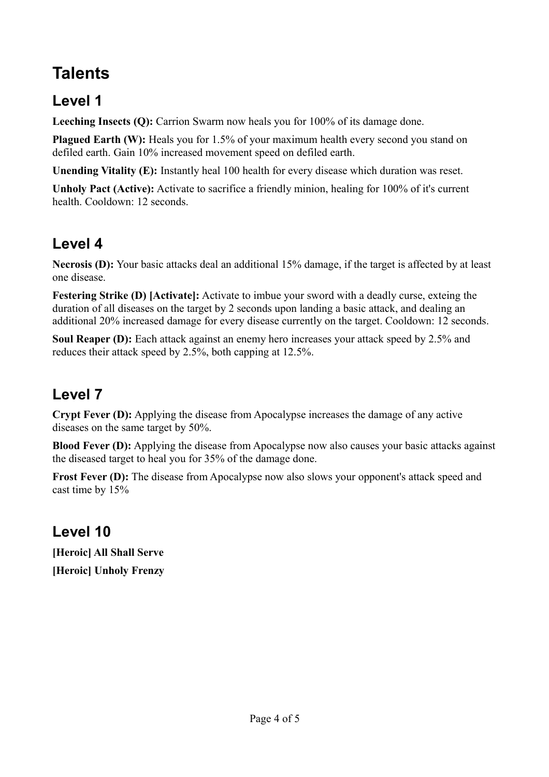# **Talents**

#### **Level 1**

**Leeching Insects (Q):** Carrion Swarm now heals you for 100% of its damage done.

**Plagued Earth (W):** Heals you for 1.5% of your maximum health every second you stand on defiled earth. Gain 10% increased movement speed on defiled earth.

**Unending Vitality (E):** Instantly heal 100 health for every disease which duration was reset.

**Unholy Pact (Active):** Activate to sacrifice a friendly minion, healing for 100% of it's current health. Cooldown: 12 seconds.

### **Level 4**

**Necrosis (D):** Your basic attacks deal an additional 15% damage, if the target is affected by at least one disease.

**Festering Strike (D) [Activate]:** Activate to imbue your sword with a deadly curse, exteing the duration of all diseases on the target by 2 seconds upon landing a basic attack, and dealing an additional 20% increased damage for every disease currently on the target. Cooldown: 12 seconds.

**Soul Reaper (D):** Each attack against an enemy hero increases your attack speed by 2.5% and reduces their attack speed by 2.5%, both capping at 12.5%.

# **Level 7**

**Crypt Fever (D):** Applying the disease from Apocalypse increases the damage of any active diseases on the same target by 50%.

**Blood Fever (D):** Applying the disease from Apocalypse now also causes your basic attacks against the diseased target to heal you for 35% of the damage done.

**Frost Fever (D):** The disease from Apocalypse now also slows your opponent's attack speed and cast time by 15%

# **Level 10**

**[Heroic] All Shall Serve [Heroic] Unholy Frenzy**